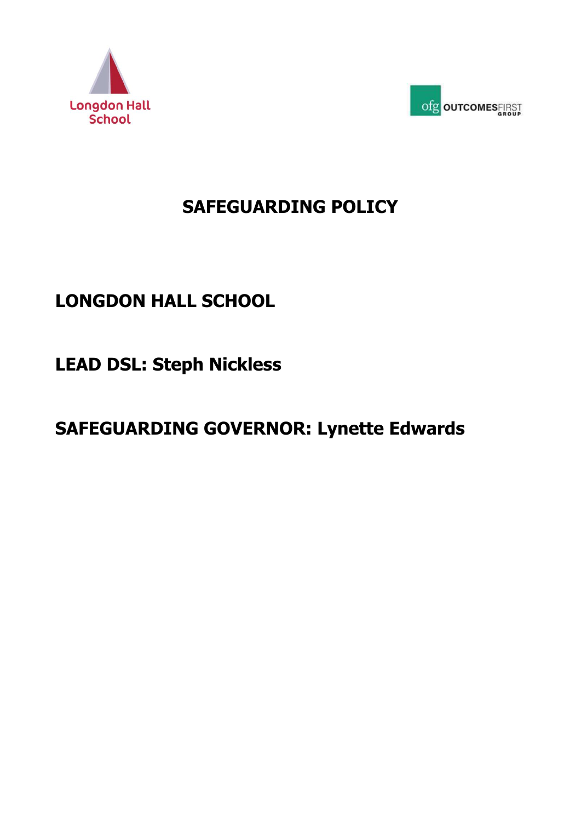



# **SAFEGUARDING POLICY**

# **LONGDON HALL SCHOOL**

**LEAD DSL: Steph Nickless**

# **SAFEGUARDING GOVERNOR: Lynette Edwards**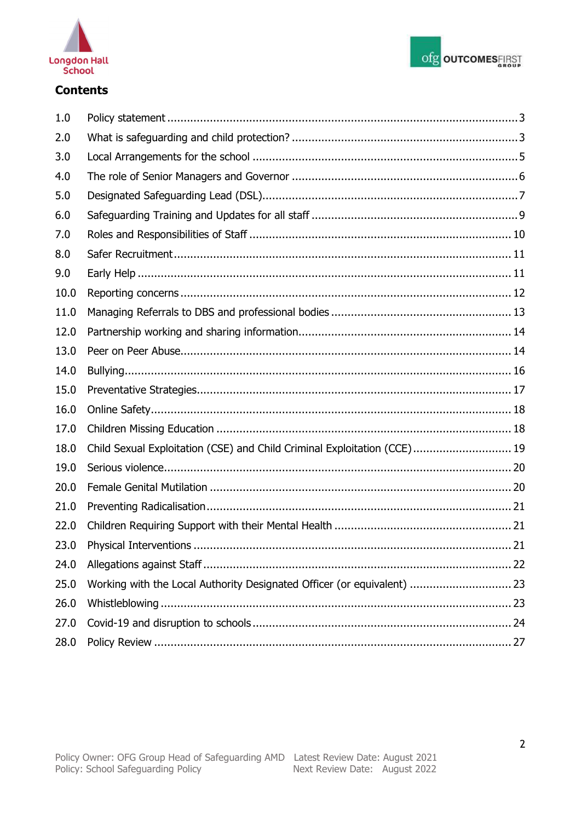



# **Contents**

| 1.0     |                                                                          |
|---------|--------------------------------------------------------------------------|
| 2.0     |                                                                          |
| 3.0     |                                                                          |
| 4.0     |                                                                          |
| 5.0     |                                                                          |
| $6.0\,$ |                                                                          |
| 7.0     |                                                                          |
| 8.0     |                                                                          |
| 9.0     |                                                                          |
| 10.0    |                                                                          |
| 11.0    |                                                                          |
| 12.0    |                                                                          |
| 13.0    |                                                                          |
| 14.0    |                                                                          |
| 15.0    |                                                                          |
| 16.0    |                                                                          |
| 17.0    |                                                                          |
| 18.0    | Child Sexual Exploitation (CSE) and Child Criminal Exploitation (CCE) 19 |
| 19.0    |                                                                          |
| 20.0    |                                                                          |
| 21.0    |                                                                          |
| 22.0    |                                                                          |
| 23.0    |                                                                          |
| 24.0    |                                                                          |
| 25.0    | Working with the Local Authority Designated Officer (or equivalent)  23  |
| 26.0    |                                                                          |
| 27.0    |                                                                          |
| 28.0    |                                                                          |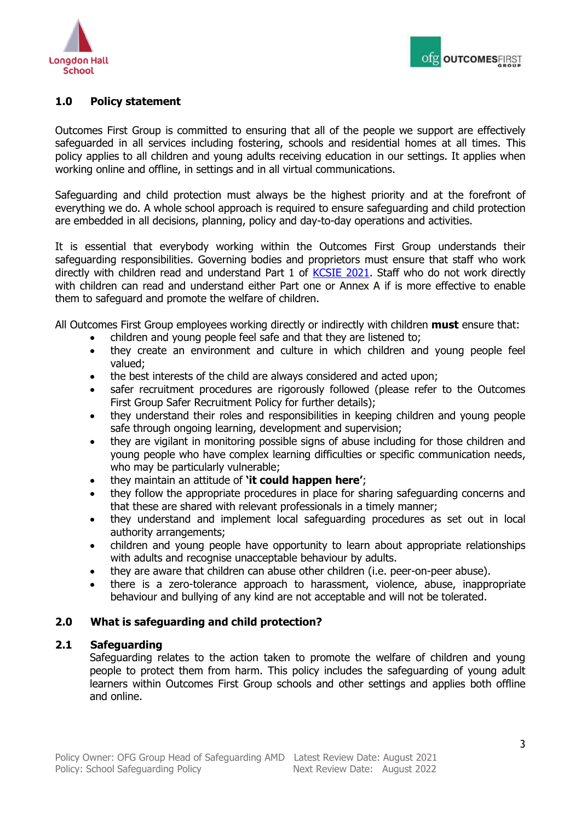

# <span id="page-2-0"></span>**1.0 Policy statement**

Outcomes First Group is committed to ensuring that all of the people we support are effectively safeguarded in all services including fostering, schools and residential homes at all times. This policy applies to all children and young adults receiving education in our settings. It applies when working online and offline, in settings and in all virtual communications.

Safeguarding and child protection must always be the highest priority and at the forefront of everything we do. A whole school approach is required to ensure safeguarding and child protection are embedded in all decisions, planning, policy and day-to-day operations and activities.

It is essential that everybody working within the Outcomes First Group understands their safeguarding responsibilities. Governing bodies and proprietors must ensure that staff who work directly with children read and understand Part 1 of [KCSIE 2021.](https://assets.publishing.service.gov.uk/government/uploads/system/uploads/attachment_data/file/999348/Keeping_children_safe_in_education_2021.pdf) Staff who do not work directly with children can read and understand either Part one or Annex A if is more effective to enable them to safeguard and promote the welfare of children.

All Outcomes First Group employees working directly or indirectly with children **must** ensure that:

- children and young people feel safe and that they are listened to;
- they create an environment and culture in which children and young people feel valued;
- the best interests of the child are always considered and acted upon;
- safer recruitment procedures are rigorously followed (please refer to the Outcomes First Group Safer Recruitment Policy for further details);
- they understand their roles and responsibilities in keeping children and young people safe through ongoing learning, development and supervision;
- they are vigilant in monitoring possible signs of abuse including for those children and young people who have complex learning difficulties or specific communication needs, who may be particularly vulnerable;
- they maintain an attitude of **'it could happen here'**;
- they follow the appropriate procedures in place for sharing safeguarding concerns and that these are shared with relevant professionals in a timely manner;
- they understand and implement local safeguarding procedures as set out in local authority arrangements;
- children and young people have opportunity to learn about appropriate relationships with adults and recognise unacceptable behaviour by adults.
- they are aware that children can abuse other children (i.e. peer-on-peer abuse).
- there is a zero-tolerance approach to harassment, violence, abuse, inappropriate behaviour and bullying of any kind are not acceptable and will not be tolerated.

# <span id="page-2-1"></span>**2.0 What is safeguarding and child protection?**

## **2.1 Safeguarding**

Safeguarding relates to the action taken to promote the welfare of children and young people to protect them from harm. This policy includes the safeguarding of young adult learners within Outcomes First Group schools and other settings and applies both offline and online.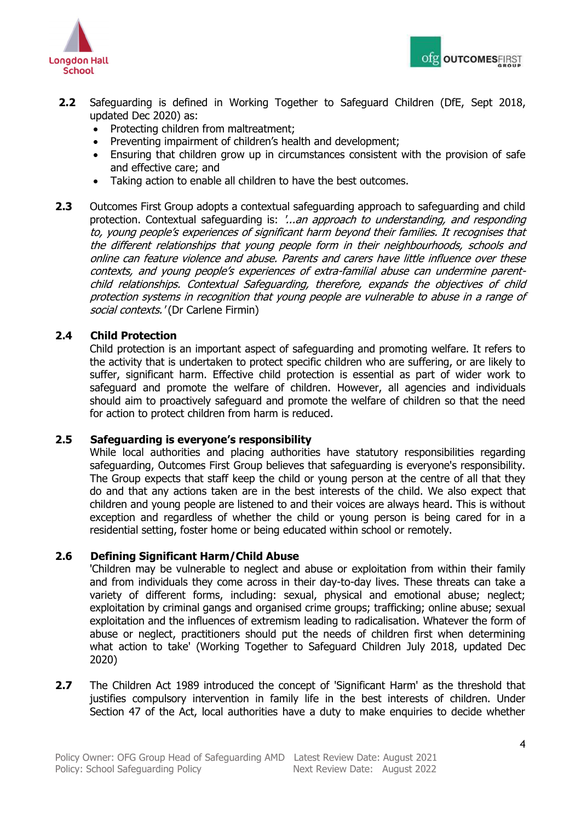



- **2.2** Safeguarding is defined in Working Together to Safeguard Children (DfE, Sept 2018, updated Dec 2020) as:
	- Protecting children from maltreatment:
	- Preventing impairment of children's health and development;
	- Ensuring that children grow up in circumstances consistent with the provision of safe and effective care; and
	- Taking action to enable all children to have the best outcomes.
- **2.3** Outcomes First Group adopts a contextual safeguarding approach to safeguarding and child protection. Contextual safeguarding is: '...an approach to understanding, and responding to, young people's experiences of significant harm beyond their families. It recognises that the different relationships that young people form in their neighbourhoods, schools and online can feature violence and abuse. Parents and carers have little influence over these contexts, and young people's experiences of extra-familial abuse can undermine parentchild relationships. Contextual Safeguarding, therefore, expands the objectives of child protection systems in recognition that young people are vulnerable to abuse in a range of social contexts.' (Dr Carlene Firmin)

# **2.4 Child Protection**

Child protection is an important aspect of safeguarding and promoting welfare. It refers to the activity that is undertaken to protect specific children who are suffering, or are likely to suffer, significant harm. Effective child protection is essential as part of wider work to safeguard and promote the welfare of children. However, all agencies and individuals should aim to proactively safeguard and promote the welfare of children so that the need for action to protect children from harm is reduced.

## **2.5 Safeguarding is everyone's responsibility**

While local authorities and placing authorities have statutory responsibilities regarding safeguarding, Outcomes First Group believes that safeguarding is everyone's responsibility. The Group expects that staff keep the child or young person at the centre of all that they do and that any actions taken are in the best interests of the child. We also expect that children and young people are listened to and their voices are always heard. This is without exception and regardless of whether the child or young person is being cared for in a residential setting, foster home or being educated within school or remotely.

## **2.6 Defining Significant Harm/Child Abuse**

'Children may be vulnerable to neglect and abuse or exploitation from within their family and from individuals they come across in their day-to-day lives. These threats can take a variety of different forms, including: sexual, physical and emotional abuse; neglect; exploitation by criminal gangs and organised crime groups; trafficking; online abuse; sexual exploitation and the influences of extremism leading to radicalisation. Whatever the form of abuse or neglect, practitioners should put the needs of children first when determining what action to take' (Working Together to Safeguard Children July 2018, updated Dec 2020)

**2.7** The Children Act 1989 introduced the concept of 'Significant Harm' as the threshold that justifies compulsory intervention in family life in the best interests of children. Under Section 47 of the Act, local authorities have a duty to make enquiries to decide whether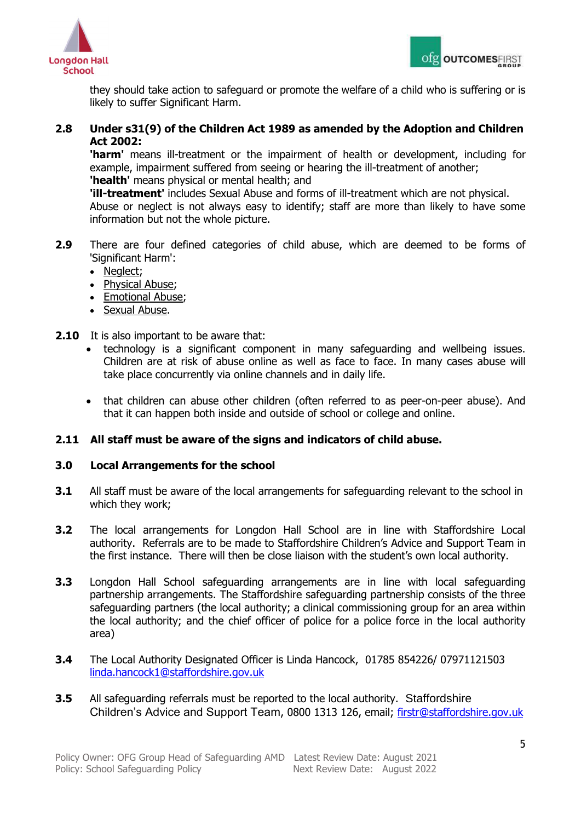



they should take action to safeguard or promote the welfare of a child who is suffering or is likely to suffer Significant Harm.

# **2.8 Under s31(9) of the Children Act 1989 as amended by the Adoption and Children Act 2002:**

**'harm'** means ill-treatment or the impairment of health or development, including for example, impairment suffered from seeing or hearing the ill-treatment of another; **'health'** means physical or mental health; and

**'ill-treatment'** includes Sexual Abuse and forms of ill-treatment which are not physical. Abuse or neglect is not always easy to identify; staff are more than likely to have some information but not the whole picture.

- **2.9** There are four defined categories of child abuse, which are deemed to be forms of 'Significant Harm':
	- Neglect;
	- Physical Abuse;
	- Emotional Abuse;
	- Sexual Abuse.
- **2.10** It is also important to be aware that:
	- technology is a significant component in many safeguarding and wellbeing issues. Children are at risk of abuse online as well as face to face. In many cases abuse will take place concurrently via online channels and in daily life.
	- that children can abuse other children (often referred to as peer-on-peer abuse). And that it can happen both inside and outside of school or college and online.

# **2.11 All staff must be aware of the signs and indicators of child abuse.**

## <span id="page-4-0"></span>**3.0 Local Arrangements for the school**

- **3.1** All staff must be aware of the local arrangements for safeguarding relevant to the school in which they work;
- **3.2** The local arrangements for Longdon Hall School are in line with Staffordshire Local authority. Referrals are to be made to Staffordshire Children's Advice and Support Team in the first instance. There will then be close liaison with the student's own local authority.
- **3.3** Longdon Hall School safeguarding arrangements are in line with local safeguarding partnership arrangements. The Staffordshire safeguarding partnership consists of the three safeguarding partners (the local authority; a clinical commissioning group for an area within the local authority; and the chief officer of police for a police force in the local authority area)
- **3.4** The Local Authority Designated Officer is Linda Hancock, 01785 854226/ 07971121503 [linda.hancock1@staffordshire.gov.uk](mailto:linda.hancock1@staffordshire.gov.uk)
- **3.5** All safeguarding referrals must be reported to the local authority. Staffordshire Children's Advice and Support Team, 0800 1313 126, email; [firstr@staffordshire.gov.uk](mailto:firstr@staffordshire.gov.uk)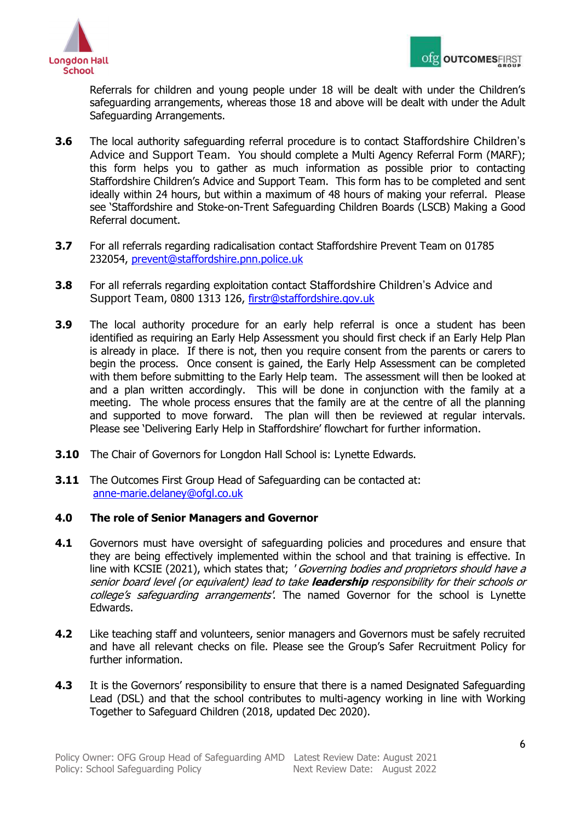



 Referrals for children and young people under 18 will be dealt with under the Children's safeguarding arrangements, whereas those 18 and above will be dealt with under the Adult Safeguarding Arrangements.

- **3.6** The local authority safeguarding referral procedure is to contact Staffordshire Children's Advice and Support Team. You should complete a Multi Agency Referral Form (MARF); this form helps you to gather as much information as possible prior to contacting Staffordshire Children's Advice and Support Team. This form has to be completed and sent ideally within 24 hours, but within a maximum of 48 hours of making your referral. Please see 'Staffordshire and Stoke-on-Trent Safeguarding Children Boards (LSCB) Making a Good Referral document.
- **3.7** For all referrals regarding radicalisation contact Staffordshire Prevent Team on 01785 232054, [prevent@staffordshire.pnn.police.uk](mailto:prevent@staffordshire.pnn.police.uk)
- **3.8** For all referrals regarding exploitation contact Staffordshire Children's Advice and Support Team, 0800 1313 126, [firstr@staffordshire.gov.uk](mailto:firstr@staffordshire.gov.uk)
- **3.9** The local authority procedure for an early help referral is once a student has been identified as requiring an Early Help Assessment you should first check if an Early Help Plan is already in place. If there is not, then you require consent from the parents or carers to begin the process. Once consent is gained, the Early Help Assessment can be completed with them before submitting to the Early Help team. The assessment will then be looked at and a plan written accordingly. This will be done in conjunction with the family at a meeting. The whole process ensures that the family are at the centre of all the planning and supported to move forward. The plan will then be reviewed at regular intervals. Please see 'Delivering Early Help in Staffordshire' flowchart for further information.
- **3.10** The Chair of Governors for Longdon Hall School is: Lynette Edwards.
- **3.11** The Outcomes First Group Head of Safeguarding can be contacted at: [anne-marie.delaney@ofgl.co.uk](mailto:anne-marie.delaney@ofgl.co.uk)

## <span id="page-5-0"></span>**4.0 The role of Senior Managers and Governor**

- **4.1** Governors must have oversight of safeguarding policies and procedures and ensure that they are being effectively implemented within the school and that training is effective. In line with KCSIE (2021), which states that; ' Governing bodies and proprietors should have a senior board level (or equivalent) lead to take **leadership** responsibility for their schools or college's safeguarding arrangements'. The named Governor for the school is Lynette Edwards.
- **4.2** Like teaching staff and volunteers, senior managers and Governors must be safely recruited and have all relevant checks on file. Please see the Group's Safer Recruitment Policy for further information.
- **4.3** It is the Governors' responsibility to ensure that there is a named Designated Safeguarding Lead (DSL) and that the school contributes to multi-agency working in line with Working Together to Safeguard Children (2018, updated Dec 2020).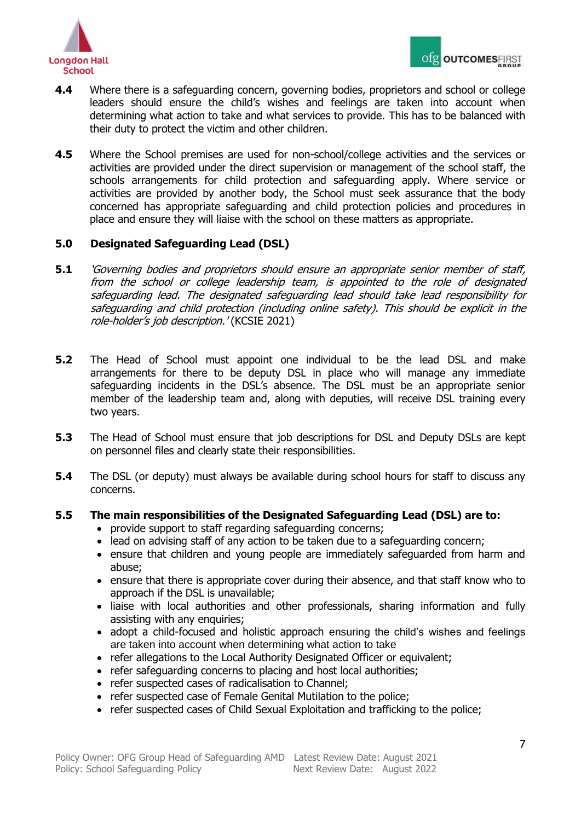

- **4.4** Where there is a safeguarding concern, governing bodies, proprietors and school or college leaders should ensure the child's wishes and feelings are taken into account when determining what action to take and what services to provide. This has to be balanced with their duty to protect the victim and other children.
- **4.5** Where the School premises are used for non-school/college activities and the services or activities are provided under the direct supervision or management of the school staff, the schools arrangements for child protection and safeguarding apply. Where service or activities are provided by another body, the School must seek assurance that the body concerned has appropriate safeguarding and child protection policies and procedures in place and ensure they will liaise with the school on these matters as appropriate.

# <span id="page-6-0"></span>**5.0 Designated Safeguarding Lead (DSL)**

- **5.1** 'Governing bodies and proprietors should ensure an appropriate senior member of staff, from the school or college leadership team, is appointed to the role of designated safeguarding lead. The designated safeguarding lead should take lead responsibility for safeguarding and child protection (including online safety). This should be explicit in the role-holder's job description.' (KCSIE 2021)
- **5.2** The Head of School must appoint one individual to be the lead DSL and make arrangements for there to be deputy DSL in place who will manage any immediate safeguarding incidents in the DSL's absence. The DSL must be an appropriate senior member of the leadership team and, along with deputies, will receive DSL training every two years.
- **5.3** The Head of School must ensure that job descriptions for DSL and Deputy DSLs are kept on personnel files and clearly state their responsibilities.
- **5.4** The DSL (or deputy) must always be available during school hours for staff to discuss any concerns.

## **5.5 The main responsibilities of the Designated Safeguarding Lead (DSL) are to:**

- provide support to staff regarding safeguarding concerns;
- lead on advising staff of any action to be taken due to a safeguarding concern;
- ensure that children and young people are immediately safeguarded from harm and abuse;
- ensure that there is appropriate cover during their absence, and that staff know who to approach if the DSL is unavailable;
- liaise with local authorities and other professionals, sharing information and fully assisting with any enquiries;
- adopt a child-focused and holistic approach ensuring the child's wishes and feelings are taken into account when determining what action to take
- refer allegations to the Local Authority Designated Officer or equivalent;
- refer safeguarding concerns to placing and host local authorities;
- refer suspected cases of radicalisation to Channel;
- refer suspected case of Female Genital Mutilation to the police;
- refer suspected cases of Child Sexual Exploitation and trafficking to the police;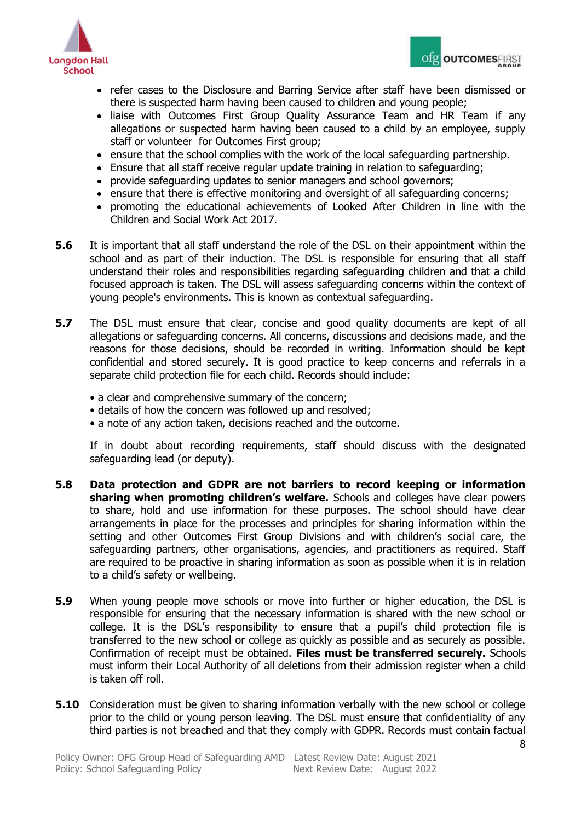



- refer cases to the Disclosure and Barring Service after staff have been dismissed or there is suspected harm having been caused to children and young people;
- liaise with Outcomes First Group Quality Assurance Team and HR Team if any allegations or suspected harm having been caused to a child by an employee, supply staff or volunteer for Outcomes First group;
- ensure that the school complies with the work of the local safeguarding partnership.
- Ensure that all staff receive regular update training in relation to safeguarding;
- provide safeguarding updates to senior managers and school governors;
- ensure that there is effective monitoring and oversight of all safeguarding concerns;
- promoting the educational achievements of Looked After Children in line with the Children and Social Work Act 2017.
- **5.6** It is important that all staff understand the role of the DSL on their appointment within the school and as part of their induction. The DSL is responsible for ensuring that all staff understand their roles and responsibilities regarding safeguarding children and that a child focused approach is taken. The DSL will assess safeguarding concerns within the context of young people's environments. This is known as contextual safeguarding.
- **5.7** The DSL must ensure that clear, concise and good quality documents are kept of all allegations or safeguarding concerns. All concerns, discussions and decisions made, and the reasons for those decisions, should be recorded in writing. Information should be kept confidential and stored securely. It is good practice to keep concerns and referrals in a separate child protection file for each child. Records should include:
	- a clear and comprehensive summary of the concern;
	- details of how the concern was followed up and resolved;
	- a note of any action taken, decisions reached and the outcome.

If in doubt about recording requirements, staff should discuss with the designated safeguarding lead (or deputy).

- **5.8 Data protection and GDPR are not barriers to record keeping or information sharing when promoting children's welfare.** Schools and colleges have clear powers to share, hold and use information for these purposes. The school should have clear arrangements in place for the processes and principles for sharing information within the setting and other Outcomes First Group Divisions and with children's social care, the safeguarding partners, other organisations, agencies, and practitioners as required. Staff are required to be proactive in sharing information as soon as possible when it is in relation to a child's safety or wellbeing.
- **5.9** When young people move schools or move into further or higher education, the DSL is responsible for ensuring that the necessary information is shared with the new school or college. It is the DSL's responsibility to ensure that a pupil's child protection file is transferred to the new school or college as quickly as possible and as securely as possible. Confirmation of receipt must be obtained. **Files must be transferred securely.** Schools must inform their Local Authority of all deletions from their admission register when a child is taken off roll.
- **5.10** Consideration must be given to sharing information verbally with the new school or college prior to the child or young person leaving. The DSL must ensure that confidentiality of any third parties is not breached and that they comply with GDPR. Records must contain factual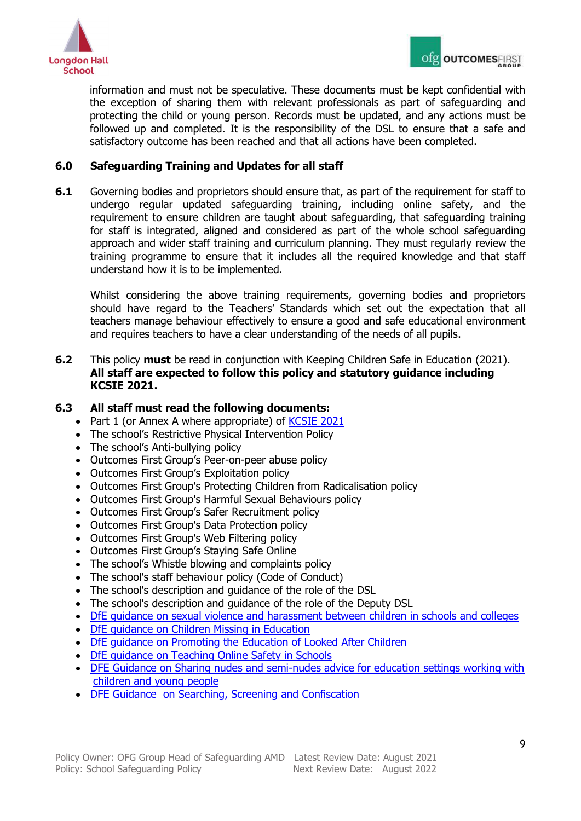



information and must not be speculative. These documents must be kept confidential with the exception of sharing them with relevant professionals as part of safeguarding and protecting the child or young person. Records must be updated, and any actions must be followed up and completed. It is the responsibility of the DSL to ensure that a safe and satisfactory outcome has been reached and that all actions have been completed.

# <span id="page-8-0"></span>**6.0 Safeguarding Training and Updates for all staff**

**6.1** Governing bodies and proprietors should ensure that, as part of the requirement for staff to undergo regular updated safeguarding training, including online safety, and the requirement to ensure children are taught about safeguarding, that safeguarding training for staff is integrated, aligned and considered as part of the whole school safeguarding approach and wider staff training and curriculum planning. They must regularly review the training programme to ensure that it includes all the required knowledge and that staff understand how it is to be implemented.

Whilst considering the above training requirements, governing bodies and proprietors should have regard to the Teachers' Standards which set out the expectation that all teachers manage behaviour effectively to ensure a good and safe educational environment and requires teachers to have a clear understanding of the needs of all pupils.

**6.2** This policy **must** be read in conjunction with Keeping Children Safe in Education (2021). **All staff are expected to follow this policy and statutory guidance including KCSIE 2021.**

#### **6.3 All staff must read the following documents:**

- Part 1 (or Annex A where appropriate) of [KCSIE 2021](https://assets.publishing.service.gov.uk/government/uploads/system/uploads/attachment_data/file/999348/Keeping_children_safe_in_education_2021.pdf)
- The school's Restrictive Physical Intervention Policy
- The school's Anti-bullying policy
- Outcomes First Group's Peer-on-peer abuse policy
- Outcomes First Group's Exploitation policy
- Outcomes First Group's Protecting Children from Radicalisation policy
- Outcomes First Group's Harmful Sexual Behaviours policy
- Outcomes First Group's Safer Recruitment policy
- Outcomes First Group's Data Protection policy
- Outcomes First Group's Web Filtering policy
- Outcomes First Group's Staying Safe Online
- The school's Whistle blowing and complaints policy
- The school's staff behaviour policy (Code of Conduct)
- The school's description and quidance of the role of the DSL
- The school's description and guidance of the role of the Deputy DSL
- DfE quidance on sexual violence and harassment between children in schools and colleges
- DfE quidance on Children Missing in Education
- [DfE guidance on Promoting the Education of Looked After Children](https://assets.publishing.service.gov.uk/government/uploads/system/uploads/attachment_data/file/683556/Promoting_the_education_of_looked-after_children_and_previously_looked-after_children.pdf)
- DfE quidance on Teaching Online Safety in Schools
- [DFE Guidance on Sharing nudes and semi-nudes advice for education settings working with](https://www.gov.uk/government/publications/sharing-nudes-and-semi-nudes-advice-for-education-settings-working-with-children-and-young-people)  [children and young people](https://www.gov.uk/government/publications/sharing-nudes-and-semi-nudes-advice-for-education-settings-working-with-children-and-young-people)
- [DFE Guidance on Searching, Screening and Confiscation](https://www.gov.uk/government/publications/searching-screening-and-confiscation)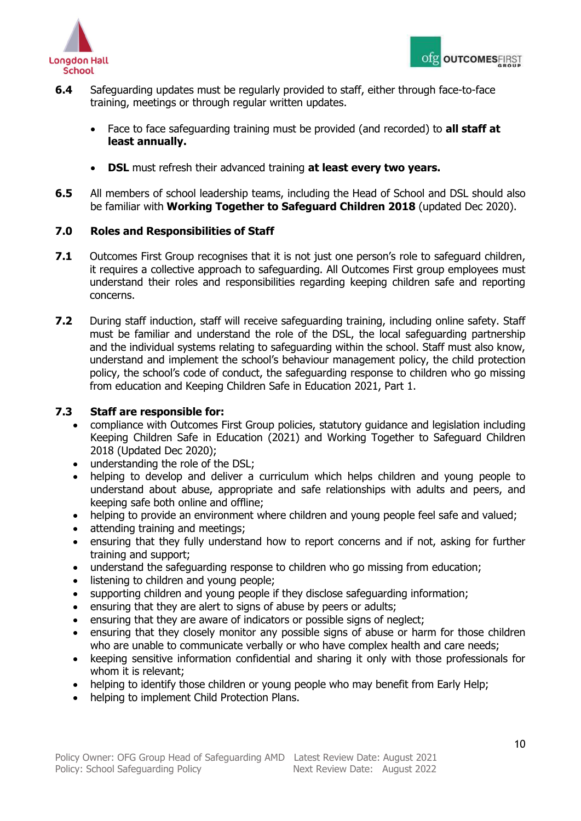



- **6.4** Safeguarding updates must be regularly provided to staff, either through face-to-face training, meetings or through regular written updates.
	- Face to face safeguarding training must be provided (and recorded) to **all staff at least annually.**
	- **DSL** must refresh their advanced training **at least every two years.**
- **6.5** All members of school leadership teams, including the Head of School and DSL should also be familiar with **Working Together to Safeguard Children 2018** (updated Dec 2020).

# <span id="page-9-0"></span>**7.0 Roles and Responsibilities of Staff**

- **7.1** Outcomes First Group recognises that it is not just one person's role to safeguard children, it requires a collective approach to safeguarding. All Outcomes First group employees must understand their roles and responsibilities regarding keeping children safe and reporting concerns.
- **7.2** During staff induction, staff will receive safeguarding training, including online safety. Staff must be familiar and understand the role of the DSL, the local safeguarding partnership and the individual systems relating to safeguarding within the school. Staff must also know, understand and implement the school's behaviour management policy, the child protection policy, the school's code of conduct, the safeguarding response to children who go missing from education and Keeping Children Safe in Education 2021, Part 1.

## **7.3 Staff are responsible for:**

- compliance with Outcomes First Group policies, statutory guidance and legislation including Keeping Children Safe in Education (2021) and Working Together to Safeguard Children 2018 (Updated Dec 2020);
- understanding the role of the DSL;
- helping to develop and deliver a curriculum which helps children and young people to understand about abuse, appropriate and safe relationships with adults and peers, and keeping safe both online and offline;
- helping to provide an environment where children and young people feel safe and valued;
- attending training and meetings;
- ensuring that they fully understand how to report concerns and if not, asking for further training and support;
- understand the safeguarding response to children who go missing from education;
- listening to children and young people;
- supporting children and young people if they disclose safeguarding information;
- ensuring that they are alert to signs of abuse by peers or adults;
- ensuring that they are aware of indicators or possible signs of neglect;
- ensuring that they closely monitor any possible signs of abuse or harm for those children who are unable to communicate verbally or who have complex health and care needs;
- keeping sensitive information confidential and sharing it only with those professionals for whom it is relevant;
- helping to identify those children or young people who may benefit from Early Help;
- helping to implement Child Protection Plans.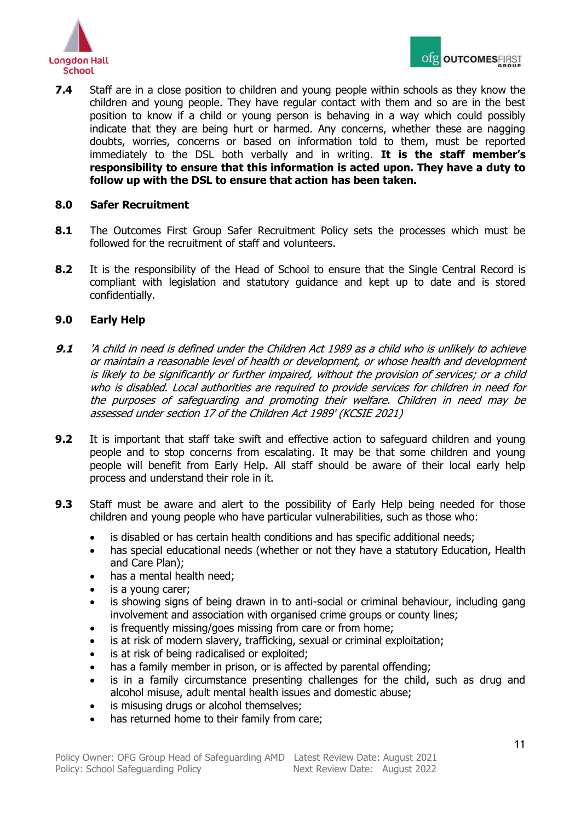

**7.4** Staff are in a close position to children and young people within schools as they know the children and young people. They have regular contact with them and so are in the best position to know if a child or young person is behaving in a way which could possibly indicate that they are being hurt or harmed. Any concerns, whether these are nagging doubts, worries, concerns or based on information told to them, must be reported immediately to the DSL both verbally and in writing. **It is the staff member's responsibility to ensure that this information is acted upon. They have a duty to follow up with the DSL to ensure that action has been taken.**

## <span id="page-10-0"></span>**8.0 Safer Recruitment**

- **8.1** The Outcomes First Group Safer Recruitment Policy sets the processes which must be followed for the recruitment of staff and volunteers.
- **8.2** It is the responsibility of the Head of School to ensure that the Single Central Record is compliant with legislation and statutory guidance and kept up to date and is stored confidentially.

# <span id="page-10-1"></span>**9.0 Early Help**

- **9.1** 'A child in need is defined under the Children Act 1989 as a child who is unlikely to achieve or maintain a reasonable level of health or development, or whose health and development is likely to be significantly or further impaired, without the provision of services; or a child who is disabled. Local authorities are required to provide services for children in need for the purposes of safeguarding and promoting their welfare. Children in need may be assessed under section 17 of the Children Act 1989' (KCSIE 2021)
- **9.2** It is important that staff take swift and effective action to safeguard children and young people and to stop concerns from escalating. It may be that some children and young people will benefit from Early Help. All staff should be aware of their local early help process and understand their role in it.
- **9.3** Staff must be aware and alert to the possibility of Early Help being needed for those children and young people who have particular vulnerabilities, such as those who:
	- is disabled or has certain health conditions and has specific additional needs;
	- has special educational needs (whether or not they have a statutory Education, Health and Care Plan);
	- has a mental health need;
	- is a young carer;
	- is showing signs of being drawn in to anti-social or criminal behaviour, including gang involvement and association with organised crime groups or county lines;
	- is frequently missing/goes missing from care or from home;
	- is at risk of modern slavery, trafficking, sexual or criminal exploitation;
	- is at risk of being radicalised or exploited;
	- has a family member in prison, or is affected by parental offending;
	- is in a family circumstance presenting challenges for the child, such as drug and alcohol misuse, adult mental health issues and domestic abuse;
	- is misusing drugs or alcohol themselves;
	- has returned home to their family from care;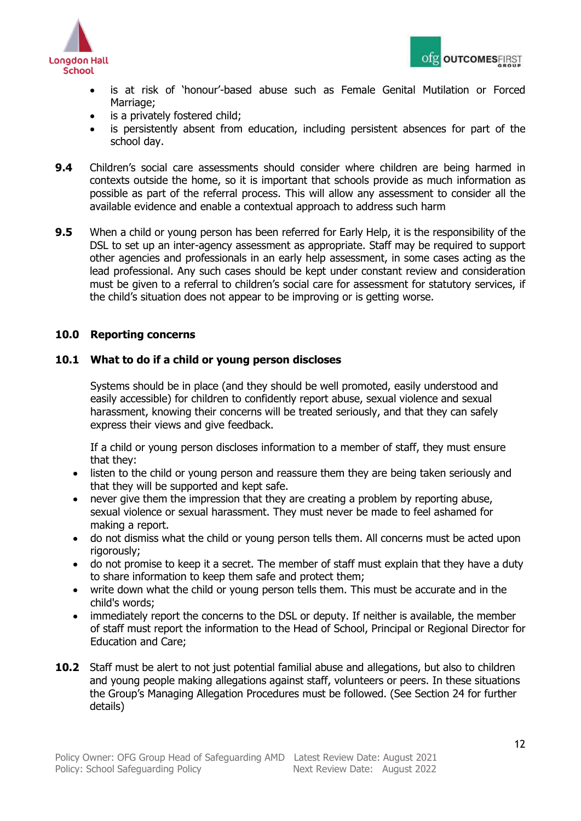



- is at risk of 'honour'-based abuse such as Female Genital Mutilation or Forced Marriage:
- is a privately fostered child;
- is persistently absent from education, including persistent absences for part of the school day.
- **9.4** Children's social care assessments should consider where children are being harmed in contexts outside the home, so it is important that schools provide as much information as possible as part of the referral process. This will allow any assessment to consider all the available evidence and enable a contextual approach to address such harm
- **9.5** When a child or young person has been referred for Early Help, it is the responsibility of the DSL to set up an inter-agency assessment as appropriate. Staff may be required to support other agencies and professionals in an early help assessment, in some cases acting as the lead professional. Any such cases should be kept under constant review and consideration must be given to a referral to children's social care for assessment for statutory services, if the child's situation does not appear to be improving or is getting worse.

# <span id="page-11-0"></span>**10.0 Reporting concerns**

## **10.1 What to do if a child or young person discloses**

Systems should be in place (and they should be well promoted, easily understood and easily accessible) for children to confidently report abuse, sexual violence and sexual harassment, knowing their concerns will be treated seriously, and that they can safely express their views and give feedback.

If a child or young person discloses information to a member of staff, they must ensure that they:

- listen to the child or young person and reassure them they are being taken seriously and that they will be supported and kept safe.
- never give them the impression that they are creating a problem by reporting abuse, sexual violence or sexual harassment. They must never be made to feel ashamed for making a report.
- do not dismiss what the child or young person tells them. All concerns must be acted upon rigorously;
- do not promise to keep it a secret. The member of staff must explain that they have a duty to share information to keep them safe and protect them;
- write down what the child or young person tells them. This must be accurate and in the child's words;
- immediately report the concerns to the DSL or deputy. If neither is available, the member of staff must report the information to the Head of School, Principal or Regional Director for Education and Care;
- **10.2** Staff must be alert to not just potential familial abuse and allegations, but also to children and young people making allegations against staff, volunteers or peers. In these situations the Group's Managing Allegation Procedures must be followed. (See Section 24 for further details)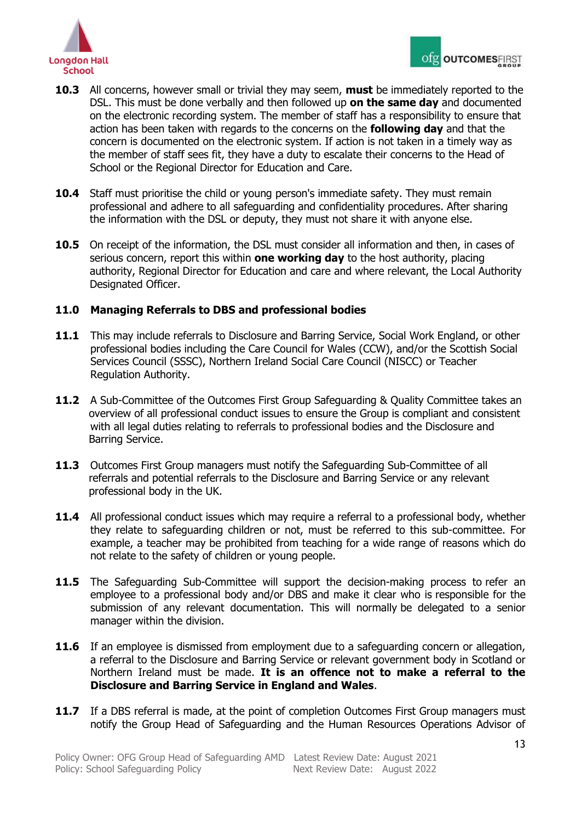

- **10.3** All concerns, however small or trivial they may seem, **must** be immediately reported to the DSL. This must be done verbally and then followed up **on the same day** and documented on the electronic recording system. The member of staff has a responsibility to ensure that action has been taken with regards to the concerns on the **following day** and that the concern is documented on the electronic system. If action is not taken in a timely way as the member of staff sees fit, they have a duty to escalate their concerns to the Head of School or the Regional Director for Education and Care.
- **10.4** Staff must prioritise the child or young person's immediate safety. They must remain professional and adhere to all safeguarding and confidentiality procedures. After sharing the information with the DSL or deputy, they must not share it with anyone else.
- **10.5** On receipt of the information, the DSL must consider all information and then, in cases of serious concern, report this within **one working day** to the host authority, placing authority, Regional Director for Education and care and where relevant, the Local Authority Designated Officer.

## <span id="page-12-0"></span>**11.0 Managing Referrals to DBS and professional bodies**

- 11.1 This may include referrals to Disclosure and Barring Service, Social Work England, or other professional bodies including the Care Council for Wales (CCW), and/or the Scottish Social Services Council (SSSC), Northern Ireland Social Care Council (NISCC) or Teacher Regulation Authority.
- **11.2** A Sub-Committee of the Outcomes First Group Safeguarding & Ouality Committee takes an overview of all professional conduct issues to ensure the Group is compliant and consistent with all legal duties relating to referrals to professional bodies and the Disclosure and Barring Service.
- **11.3** Outcomes First Group managers must notify the Safeguarding Sub-Committee of all referrals and potential referrals to the Disclosure and Barring Service or any relevant professional body in the UK.
- **11.4** All professional conduct issues which may require a referral to a professional body, whether they relate to safeguarding children or not, must be referred to this sub-committee. For example, a teacher may be prohibited from teaching for a wide range of reasons which do not relate to the safety of children or young people.
- **11.5** The Safeguarding Sub-Committee will support the decision-making process to refer an employee to a professional body and/or DBS and make it clear who is responsible for the submission of any relevant documentation. This will normally be delegated to a senior manager within the division.
- **11.6** If an employee is dismissed from employment due to a safeguarding concern or allegation, a referral to the Disclosure and Barring Service or relevant government body in Scotland or Northern Ireland must be made. **It is an offence not to make a referral to the Disclosure and Barring Service in England and Wales**.
- **11.7** If a DBS referral is made, at the point of completion Outcomes First Group managers must notify the Group Head of Safeguarding and the Human Resources Operations Advisor of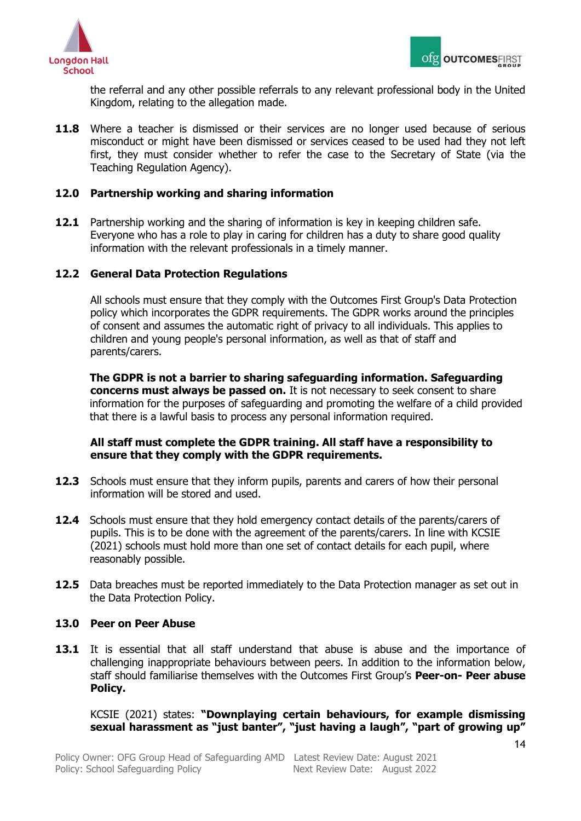



the referral and any other possible referrals to any relevant professional body in the United Kingdom, relating to the allegation made.

**11.8** Where a teacher is dismissed or their services are no longer used because of serious misconduct or might have been dismissed or services ceased to be used had they not left first, they must consider whether to refer the case to the Secretary of State (via the Teaching Regulation Agency).

## <span id="page-13-0"></span>**12.0 Partnership working and sharing information**

**12.1** Partnership working and the sharing of information is key in keeping children safe. Everyone who has a role to play in caring for children has a duty to share good quality information with the relevant professionals in a timely manner.

# **12.2 General Data Protection Regulations**

All schools must ensure that they comply with the Outcomes First Group's Data Protection policy which incorporates the GDPR requirements. The GDPR works around the principles of consent and assumes the automatic right of privacy to all individuals. This applies to children and young people's personal information, as well as that of staff and parents/carers.

**The GDPR is not a barrier to sharing safeguarding information. Safeguarding concerns must always be passed on.** It is not necessary to seek consent to share information for the purposes of safeguarding and promoting the welfare of a child provided that there is a lawful basis to process any personal information required.

## **All staff must complete the GDPR training. All staff have a responsibility to ensure that they comply with the GDPR requirements.**

- **12.3** Schools must ensure that they inform pupils, parents and carers of how their personal information will be stored and used.
- **12.4** Schools must ensure that they hold emergency contact details of the parents/carers of pupils. This is to be done with the agreement of the parents/carers. In line with KCSIE (2021) schools must hold more than one set of contact details for each pupil, where reasonably possible.
- **12.5** Data breaches must be reported immediately to the Data Protection manager as set out in the Data Protection Policy.

## <span id="page-13-1"></span>**13.0 Peer on Peer Abuse**

**13.1** It is essential that all staff understand that abuse is abuse and the importance of challenging inappropriate behaviours between peers. In addition to the information below, staff should familiarise themselves with the Outcomes First Group's **Peer-on- Peer abuse Policy.**

KCSIE (2021) states: **"Downplaying certain behaviours, for example dismissing sexual harassment as "just banter", "just having a laugh", "part of growing up"**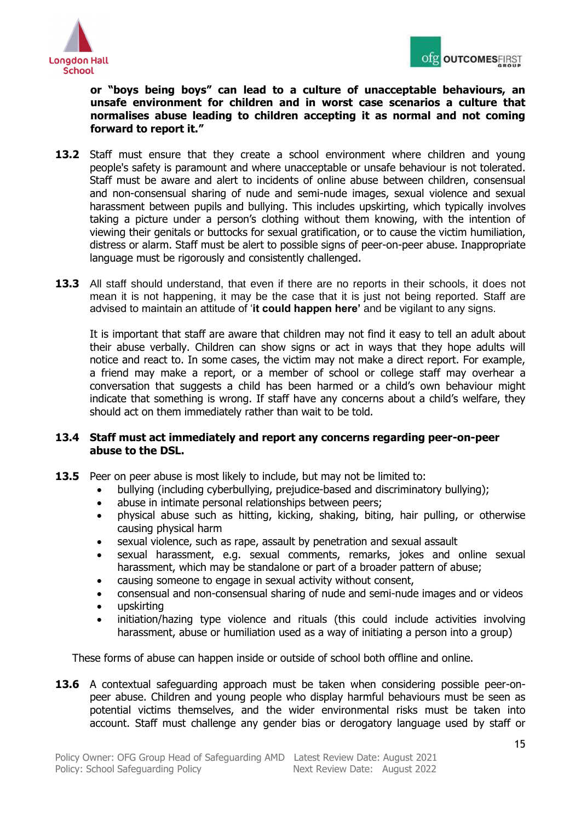



## **or "boys being boys" can lead to a culture of unacceptable behaviours, an unsafe environment for children and in worst case scenarios a culture that normalises abuse leading to children accepting it as normal and not coming forward to report it."**

- 13.2 Staff must ensure that they create a school environment where children and young people's safety is paramount and where unacceptable or unsafe behaviour is not tolerated. Staff must be aware and alert to incidents of online abuse between children, consensual and non-consensual sharing of nude and semi-nude images, sexual violence and sexual harassment between pupils and bullying. This includes upskirting, which typically involves taking a picture under a person's clothing without them knowing, with the intention of viewing their genitals or buttocks for sexual gratification, or to cause the victim humiliation, distress or alarm. Staff must be alert to possible signs of peer-on-peer abuse. Inappropriate language must be rigorously and consistently challenged.
- **13.3** All staff should understand, that even if there are no reports in their schools, it does not mean it is not happening, it may be the case that it is just not being reported. Staff are advised to maintain an attitude of '**it could happen here'** and be vigilant to any signs.

It is important that staff are aware that children may not find it easy to tell an adult about their abuse verbally. Children can show signs or act in ways that they hope adults will notice and react to. In some cases, the victim may not make a direct report. For example, a friend may make a report, or a member of school or college staff may overhear a conversation that suggests a child has been harmed or a child's own behaviour might indicate that something is wrong. If staff have any concerns about a child's welfare, they should act on them immediately rather than wait to be told.

# **13.4 Staff must act immediately and report any concerns regarding peer-on-peer abuse to the DSL.**

- **13.5** Peer on peer abuse is most likely to include, but may not be limited to:
	- bullying (including cyberbullying, prejudice-based and discriminatory bullying);
	- abuse in intimate personal relationships between peers;
	- physical abuse such as hitting, kicking, shaking, biting, hair pulling, or otherwise causing physical harm
	- sexual violence, such as rape, assault by penetration and sexual assault
	- sexual harassment, e.g. sexual comments, remarks, jokes and online sexual harassment, which may be standalone or part of a broader pattern of abuse;
	- causing someone to engage in sexual activity without consent,
	- consensual and non-consensual sharing of nude and semi-nude images and or videos
	- upskirting
	- initiation/hazing type violence and rituals (this could include activities involving harassment, abuse or humiliation used as a way of initiating a person into a group)

These forms of abuse can happen inside or outside of school both offline and online.

**13.6** A contextual safeguarding approach must be taken when considering possible peer-onpeer abuse. Children and young people who display harmful behaviours must be seen as potential victims themselves, and the wider environmental risks must be taken into account. Staff must challenge any gender bias or derogatory language used by staff or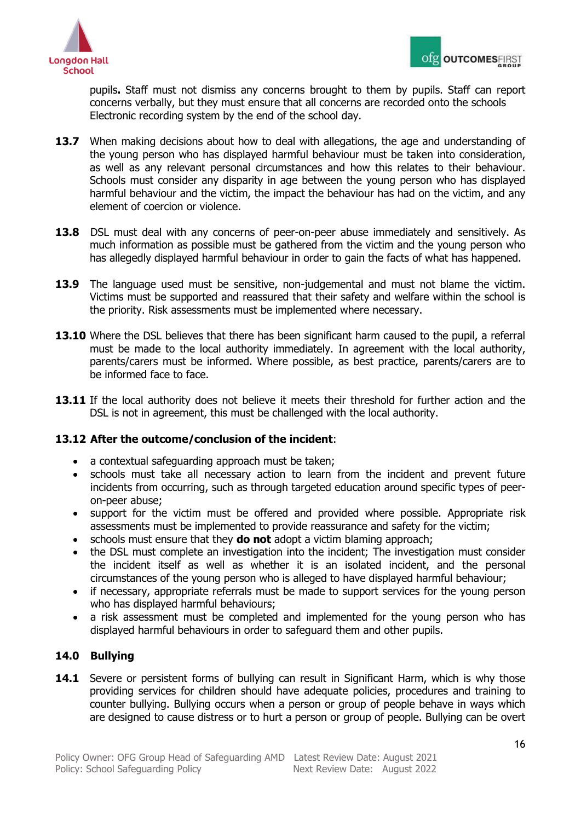

pupils**.** Staff must not dismiss any concerns brought to them by pupils. Staff can report concerns verbally, but they must ensure that all concerns are recorded onto the schools Electronic recording system by the end of the school day.

- **13.7** When making decisions about how to deal with allegations, the age and understanding of the young person who has displayed harmful behaviour must be taken into consideration, as well as any relevant personal circumstances and how this relates to their behaviour. Schools must consider any disparity in age between the young person who has displayed harmful behaviour and the victim, the impact the behaviour has had on the victim, and any element of coercion or violence.
- **13.8** DSL must deal with any concerns of peer-on-peer abuse immediately and sensitively. As much information as possible must be gathered from the victim and the young person who has allegedly displayed harmful behaviour in order to gain the facts of what has happened.
- **13.9** The language used must be sensitive, non-judgemental and must not blame the victim. Victims must be supported and reassured that their safety and welfare within the school is the priority. Risk assessments must be implemented where necessary.
- 13.10 Where the DSL believes that there has been significant harm caused to the pupil, a referral must be made to the local authority immediately. In agreement with the local authority, parents/carers must be informed. Where possible, as best practice, parents/carers are to be informed face to face.
- 13.11 If the local authority does not believe it meets their threshold for further action and the DSL is not in agreement, this must be challenged with the local authority.

# **13.12 After the outcome/conclusion of the incident**:

- a contextual safeguarding approach must be taken;
- schools must take all necessary action to learn from the incident and prevent future incidents from occurring, such as through targeted education around specific types of peeron-peer abuse;
- support for the victim must be offered and provided where possible. Appropriate risk assessments must be implemented to provide reassurance and safety for the victim;
- schools must ensure that they **do not** adopt a victim blaming approach;
- the DSL must complete an investigation into the incident; The investigation must consider the incident itself as well as whether it is an isolated incident, and the personal circumstances of the young person who is alleged to have displayed harmful behaviour;
- if necessary, appropriate referrals must be made to support services for the young person who has displayed harmful behaviours;
- a risk assessment must be completed and implemented for the young person who has displayed harmful behaviours in order to safeguard them and other pupils.

# <span id="page-15-0"></span>**14.0 Bullying**

**14.1** Severe or persistent forms of bullying can result in Significant Harm, which is why those providing services for children should have adequate policies, procedures and training to counter bullying. Bullying occurs when a person or group of people behave in ways which are designed to cause distress or to hurt a person or group of people. Bullying can be overt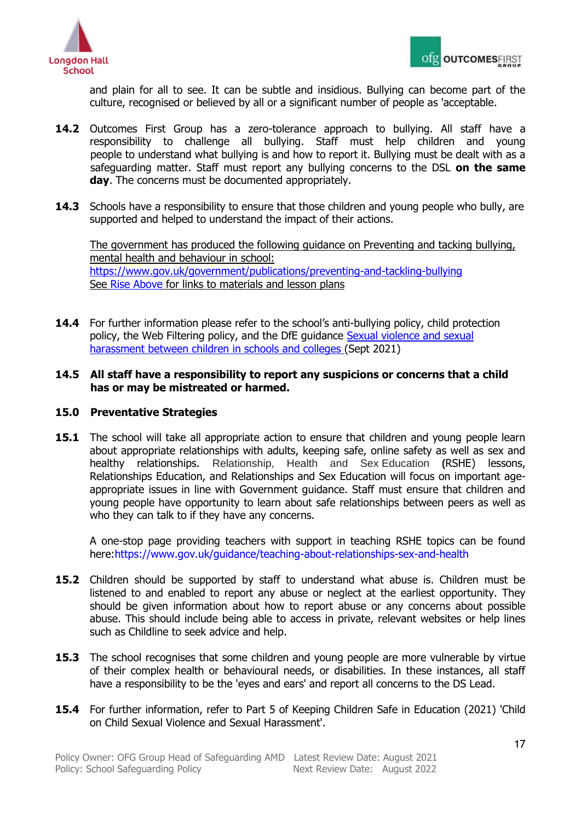



and plain for all to see. It can be subtle and insidious. Bullying can become part of the culture, recognised or believed by all or a significant number of people as 'acceptable.

- **14.2** Outcomes First Group has a zero-tolerance approach to bullying. All staff have a responsibility to challenge all bullying. Staff must help children and young people to understand what bullying is and how to report it. Bullying must be dealt with as a safeguarding matter. Staff must report any bullying concerns to the DSL **on the same day**. The concerns must be documented appropriately.
- **14.3** Schools have a responsibility to ensure that those children and young people who bully, are supported and helped to understand the impact of their actions.

The government has produced the following guidance on Preventing and tacking bullying, mental health and behaviour in school: <https://www.gov.uk/government/publications/preventing-and-tackling-bullying> See [Rise Above](https://campaignresources.phe.gov.uk/schools/topics/mental-wellbeing/overview) for links to materials and lesson plans

**14.4** For further information please refer to the school's anti-bullying policy, child protection policy, the Web Filtering policy, and the DfE guidance [Sexual violence and sexual](https://assets.publishing.service.gov.uk/government/uploads/system/uploads/attachment_data/file/999239/SVSH_2021.pdf)  [harassment between children in schools and colleges \(](https://assets.publishing.service.gov.uk/government/uploads/system/uploads/attachment_data/file/999239/SVSH_2021.pdf)Sept 2021)

## **14.5 All staff have a responsibility to report any suspicions or concerns that a child has or may be mistreated or harmed.**

## <span id="page-16-0"></span>**15.0 Preventative Strategies**

**15.1** The school will take all appropriate action to ensure that children and young people learn about appropriate relationships with adults, keeping safe, online safety as well as sex and healthy relationships. Relationship, Health and Sex Education **(**RSHE) lessons, Relationships Education, and Relationships and Sex Education will focus on important ageappropriate issues in line with Government guidance. Staff must ensure that children and young people have opportunity to learn about safe relationships between peers as well as who they can talk to if they have any concerns.

A one-stop page providing teachers with support in teaching RSHE topics can be found here[:https://www.gov.uk/guidance/teaching-about-relationships-sex-and-health](https://www.gov.uk/guidance/teaching-about-relationships-sex-and-health)

- 15.2 Children should be supported by staff to understand what abuse is. Children must be listened to and enabled to report any abuse or neglect at the earliest opportunity. They should be given information about how to report abuse or any concerns about possible abuse. This should include being able to access in private, relevant websites or help lines such as Childline to seek advice and help.
- **15.3** The school recognises that some children and young people are more vulnerable by virtue of their complex health or behavioural needs, or disabilities. In these instances, all staff have a responsibility to be the 'eyes and ears' and report all concerns to the DS Lead.
- **15.4** For further information, refer to Part 5 of Keeping Children Safe in Education (2021) 'Child on Child Sexual Violence and Sexual Harassment'.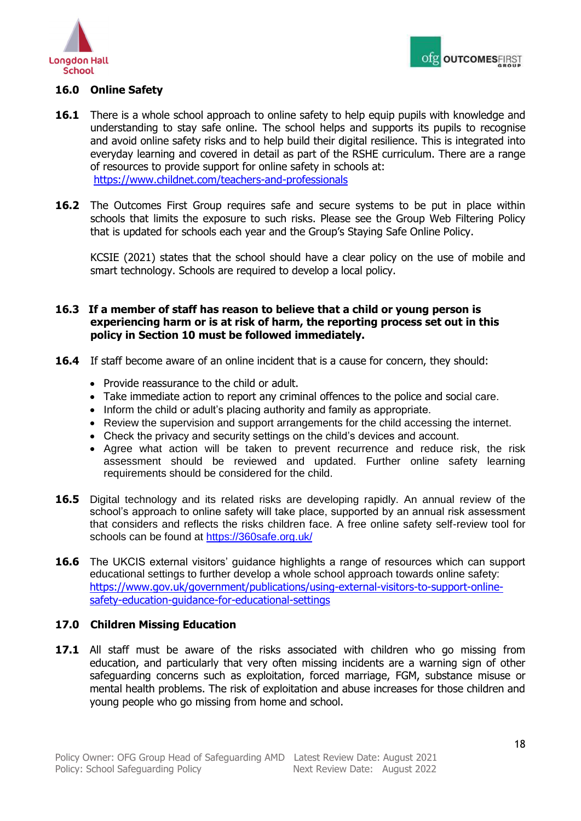

# <span id="page-17-0"></span>**16.0 Online Safety**

- **16.1** There is a whole school approach to online safety to help equip pupils with knowledge and understanding to stay safe online. The school helps and supports its pupils to recognise and avoid online safety risks and to help build their digital resilience. This is integrated into everyday learning and covered in detail as part of the RSHE curriculum. There are a range of resources to provide support for online safety in schools at: <https://www.childnet.com/teachers-and-professionals>
- **16.2** The Outcomes First Group requires safe and secure systems to be put in place within schools that limits the exposure to such risks. Please see the Group Web Filtering Policy that is updated for schools each year and the Group's Staying Safe Online Policy.

KCSIE (2021) states that the school should have a clear policy on the use of mobile and smart technology. Schools are required to develop a local policy.

# **16.3 If a member of staff has reason to believe that a child or young person is experiencing harm or is at risk of harm, the reporting process set out in this policy in Section 10 must be followed immediately.**

- **16.4** If staff become aware of an online incident that is a cause for concern, they should:
	- Provide reassurance to the child or adult.
	- Take immediate action to report any criminal offences to the police and social care.
	- Inform the child or adult's placing authority and family as appropriate.
	- Review the supervision and support arrangements for the child accessing the internet.
	- Check the privacy and security settings on the child's devices and account.
	- Agree what action will be taken to prevent recurrence and reduce risk, the risk assessment should be reviewed and updated. Further online safety learning requirements should be considered for the child.
- **16.5** Digital technology and its related risks are developing rapidly. An annual review of the school's approach to online safety will take place, supported by an annual risk assessment that considers and reflects the risks children face. A free online safety self-review tool for schools can be found at<https://360safe.org.uk/>
- **16.6** The UKCIS external visitors' guidance highlights a range of resources which can support educational settings to further develop a whole school approach towards online safety: [https://www.gov.uk/government/publications/using-external-visitors-to-support-online](https://www.gov.uk/government/publications/using-external-visitors-to-support-online-safety-education-guidance-for-educational-settings)[safety-education-guidance-for-educational-settings](https://www.gov.uk/government/publications/using-external-visitors-to-support-online-safety-education-guidance-for-educational-settings)

## <span id="page-17-1"></span>**17.0 Children Missing Education**

17.1 All staff must be aware of the risks associated with children who go missing from education, and particularly that very often missing incidents are a warning sign of other safeguarding concerns such as exploitation, forced marriage, FGM, substance misuse or mental health problems. The risk of exploitation and abuse increases for those children and young people who go missing from home and school.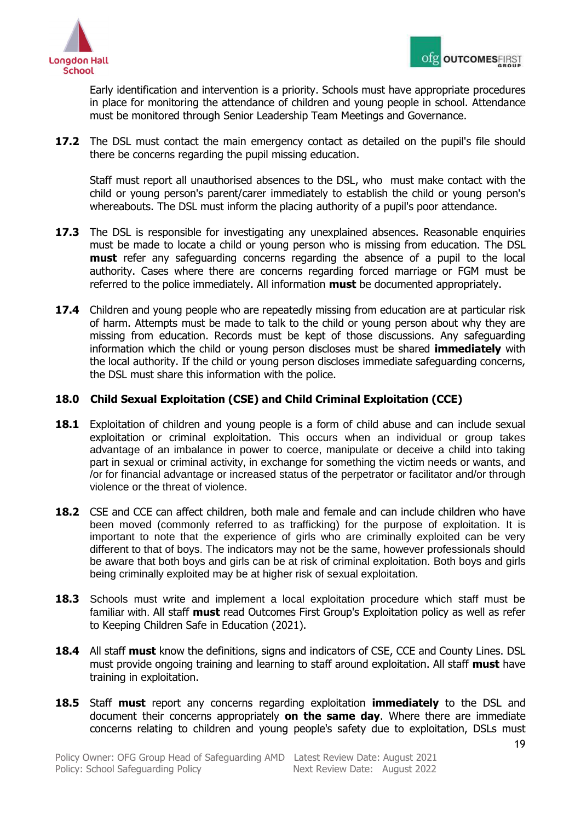

Early identification and intervention is a priority. Schools must have appropriate procedures in place for monitoring the attendance of children and young people in school. Attendance must be monitored through Senior Leadership Team Meetings and Governance.

**17.2** The DSL must contact the main emergency contact as detailed on the pupil's file should there be concerns regarding the pupil missing education.

Staff must report all unauthorised absences to the DSL, who must make contact with the child or young person's parent/carer immediately to establish the child or young person's whereabouts. The DSL must inform the placing authority of a pupil's poor attendance.

- **17.3** The DSL is responsible for investigating any unexplained absences. Reasonable enquiries must be made to locate a child or young person who is missing from education. The DSL **must** refer any safeguarding concerns regarding the absence of a pupil to the local authority. Cases where there are concerns regarding forced marriage or FGM must be referred to the police immediately. All information **must** be documented appropriately.
- **17.4** Children and young people who are repeatedly missing from education are at particular risk of harm. Attempts must be made to talk to the child or young person about why they are missing from education. Records must be kept of those discussions. Any safeguarding information which the child or young person discloses must be shared **immediately** with the local authority. If the child or young person discloses immediate safeguarding concerns, the DSL must share this information with the police.

# <span id="page-18-0"></span>**18.0 Child Sexual Exploitation (CSE) and Child Criminal Exploitation (CCE)**

- **18.1** Exploitation of children and young people is a form of child abuse and can include sexual exploitation or criminal exploitation. This occurs when an individual or group takes advantage of an imbalance in power to coerce, manipulate or deceive a child into taking part in sexual or criminal activity, in exchange for something the victim needs or wants, and /or for financial advantage or increased status of the perpetrator or facilitator and/or through violence or the threat of violence.
- **18.2** CSE and CCE can affect children, both male and female and can include children who have been moved (commonly referred to as trafficking) for the purpose of exploitation. It is important to note that the experience of girls who are criminally exploited can be very different to that of boys. The indicators may not be the same, however professionals should be aware that both boys and girls can be at risk of criminal exploitation. Both boys and girls being criminally exploited may be at higher risk of sexual exploitation.
- **18.3** Schools must write and implement a local exploitation procedure which staff must be familiar with. All staff **must** read Outcomes First Group's Exploitation policy as well as refer to Keeping Children Safe in Education (2021).
- **18.4** All staff **must** know the definitions, signs and indicators of CSE, CCE and County Lines. DSL must provide ongoing training and learning to staff around exploitation. All staff **must** have training in exploitation.
- **18.5** Staff **must** report any concerns regarding exploitation **immediately** to the DSL and document their concerns appropriately **on the same day**. Where there are immediate concerns relating to children and young people's safety due to exploitation, DSLs must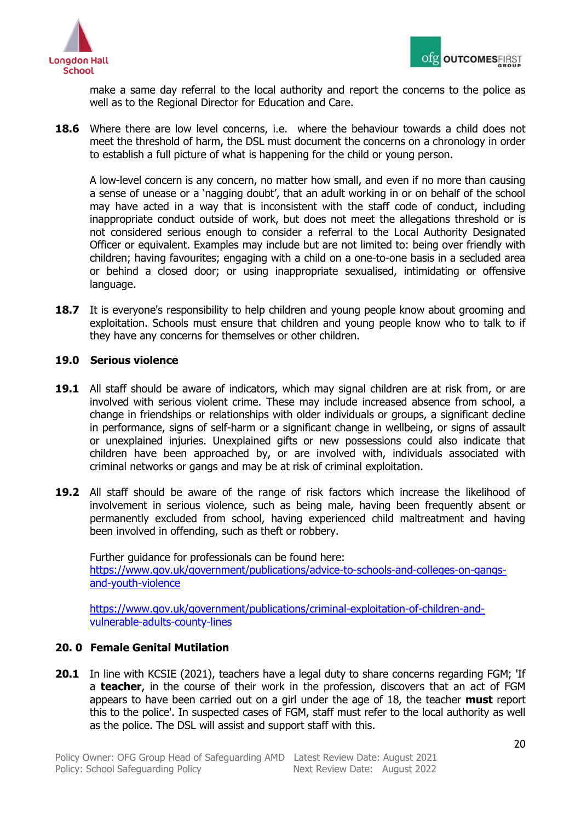



make a same day referral to the local authority and report the concerns to the police as well as to the Regional Director for Education and Care.

**18.6** Where there are low level concerns, i.e. where the behaviour towards a child does not meet the threshold of harm, the DSL must document the concerns on a chronology in order to establish a full picture of what is happening for the child or young person.

A low-level concern is any concern, no matter how small, and even if no more than causing a sense of unease or a 'nagging doubt', that an adult working in or on behalf of the school may have acted in a way that is inconsistent with the staff code of conduct, including inappropriate conduct outside of work, but does not meet the allegations threshold or is not considered serious enough to consider a referral to the Local Authority Designated Officer or equivalent. Examples may include but are not limited to: being over friendly with children; having favourites; engaging with a child on a one-to-one basis in a secluded area or behind a closed door; or using inappropriate sexualised, intimidating or offensive language.

**18.7** It is everyone's responsibility to help children and young people know about grooming and exploitation. Schools must ensure that children and young people know who to talk to if they have any concerns for themselves or other children.

## <span id="page-19-0"></span>**19.0 Serious violence**

- 19.1 All staff should be aware of indicators, which may signal children are at risk from, or are involved with serious violent crime. These may include increased absence from school, a change in friendships or relationships with older individuals or groups, a significant decline in performance, signs of self-harm or a significant change in wellbeing, or signs of assault or unexplained injuries. Unexplained gifts or new possessions could also indicate that children have been approached by, or are involved with, individuals associated with criminal networks or gangs and may be at risk of criminal exploitation.
- **19.2** All staff should be aware of the range of risk factors which increase the likelihood of involvement in serious violence, such as being male, having been frequently absent or permanently excluded from school, having experienced child maltreatment and having been involved in offending, such as theft or robbery.

Further guidance for professionals can be found here: [https://www.gov.uk/government/publications/advice-to-schools-and-colleges-on-gangs](https://www.gov.uk/government/publications/advice-to-schools-and-colleges-on-gangs-and-youth-violence)[and-youth-violence](https://www.gov.uk/government/publications/advice-to-schools-and-colleges-on-gangs-and-youth-violence)

[https://www.gov.uk/government/publications/criminal-exploitation-of-children-and](https://www.gov.uk/government/publications/criminal-exploitation-of-children-and-vulnerable-adults-county-lines)[vulnerable-adults-county-lines](https://www.gov.uk/government/publications/criminal-exploitation-of-children-and-vulnerable-adults-county-lines)

## <span id="page-19-1"></span>**20. 0 Female Genital Mutilation**

**20.1** In line with KCSIE (2021), teachers have a legal duty to share concerns regarding FGM; 'If a **teacher**, in the course of their work in the profession, discovers that an act of FGM appears to have been carried out on a girl under the age of 18, the teacher **must** report this to the police'. In suspected cases of FGM, staff must refer to the local authority as well as the police. The DSL will assist and support staff with this.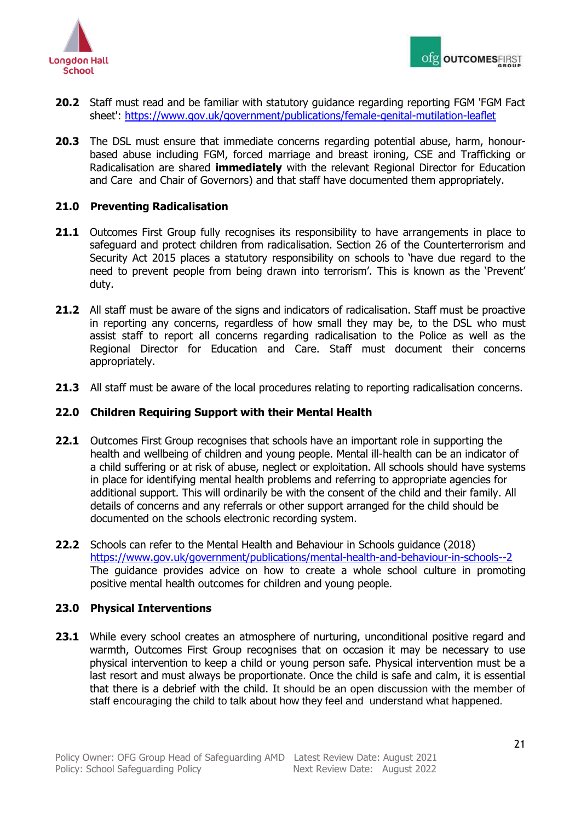

- **20.2** Staff must read and be familiar with statutory guidance regarding reporting FGM 'FGM Fact sheet': <https://www.gov.uk/government/publications/female-genital-mutilation-leaflet>
- **20.3** The DSL must ensure that immediate concerns regarding potential abuse, harm, honourbased abuse including FGM, forced marriage and breast ironing, CSE and Trafficking or Radicalisation are shared **immediately** with the relevant Regional Director for Education and Care and Chair of Governors) and that staff have documented them appropriately.

# <span id="page-20-0"></span>**21.0 Preventing Radicalisation**

- **21.1** Outcomes First Group fully recognises its responsibility to have arrangements in place to safeguard and protect children from radicalisation. Section 26 of the Counterterrorism and Security Act 2015 places a statutory responsibility on schools to 'have due regard to the need to prevent people from being drawn into terrorism'. This is known as the 'Prevent' duty.
- **21.2** All staff must be aware of the signs and indicators of radicalisation. Staff must be proactive in reporting any concerns, regardless of how small they may be, to the DSL who must assist staff to report all concerns regarding radicalisation to the Police as well as the Regional Director for Education and Care. Staff must document their concerns appropriately.
- **21.3** All staff must be aware of the local procedures relating to reporting radicalisation concerns.

## <span id="page-20-1"></span>**22.0 Children Requiring Support with their Mental Health**

- **22.1** Outcomes First Group recognises that schools have an important role in supporting the health and wellbeing of children and young people. Mental ill-health can be an indicator of a child suffering or at risk of abuse, neglect or exploitation. All schools should have systems in place for identifying mental health problems and referring to appropriate agencies for additional support. This will ordinarily be with the consent of the child and their family. All details of concerns and any referrals or other support arranged for the child should be documented on the schools electronic recording system.
- **22.2** Schools can refer to the Mental Health and Behaviour in Schools guidance (2018) <https://www.gov.uk/government/publications/mental-health-and-behaviour-in-schools--2> The guidance provides advice on how to create a whole school culture in promoting positive mental health outcomes for children and young people.

# <span id="page-20-2"></span>**23.0 Physical Interventions**

**23.1** While every school creates an atmosphere of nurturing, unconditional positive regard and warmth, Outcomes First Group recognises that on occasion it may be necessary to use physical intervention to keep a child or young person safe. Physical intervention must be a last resort and must always be proportionate. Once the child is safe and calm, it is essential that there is a debrief with the child. It should be an open discussion with the member of staff encouraging the child to talk about how they feel and understand what happened.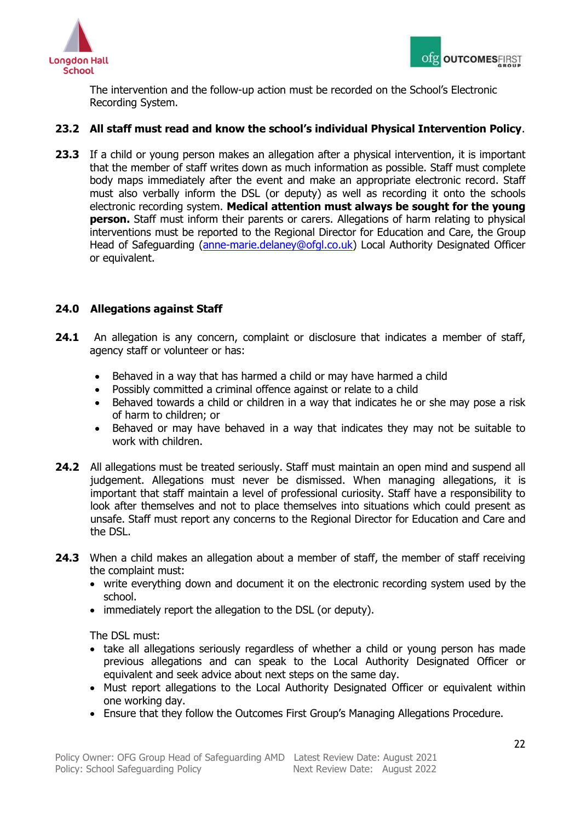



The intervention and the follow-up action must be recorded on the School's Electronic Recording System.

# **23.2 All staff must read and know the school's individual Physical Intervention Policy**.

23.3 If a child or young person makes an allegation after a physical intervention, it is important that the member of staff writes down as much information as possible. Staff must complete body maps immediately after the event and make an appropriate electronic record. Staff must also verbally inform the DSL (or deputy) as well as recording it onto the schools electronic recording system. **Medical attention must always be sought for the young person.** Staff must inform their parents or carers. Allegations of harm relating to physical interventions must be reported to the Regional Director for Education and Care, the Group Head of Safeguarding [\(anne-marie.delaney@ofgl.co.uk\)](mailto:anne-marie.delaney@ofgl.co.uk) Local Authority Designated Officer or equivalent.

# <span id="page-21-0"></span>**24.0 Allegations against Staff**

- **24.1** An allegation is any concern, complaint or disclosure that indicates a member of staff, agency staff or volunteer or has:
	- Behaved in a way that has harmed a child or may have harmed a child
	- Possibly committed a criminal offence against or relate to a child
	- Behaved towards a child or children in a way that indicates he or she may pose a risk of harm to children; or
	- Behaved or may have behaved in a way that indicates they may not be suitable to work with children.
- **24.2** All allegations must be treated seriously. Staff must maintain an open mind and suspend all judgement. Allegations must never be dismissed. When managing allegations, it is important that staff maintain a level of professional curiosity. Staff have a responsibility to look after themselves and not to place themselves into situations which could present as unsafe. Staff must report any concerns to the Regional Director for Education and Care and the DSL.
- **24.3** When a child makes an allegation about a member of staff, the member of staff receiving the complaint must:
	- write everything down and document it on the electronic recording system used by the school.
	- immediately report the allegation to the DSL (or deputy).

The DSL must:

- take all allegations seriously regardless of whether a child or young person has made previous allegations and can speak to the Local Authority Designated Officer or equivalent and seek advice about next steps on the same day.
- Must report allegations to the Local Authority Designated Officer or equivalent within one working day.
- Ensure that they follow the Outcomes First Group's Managing Allegations Procedure.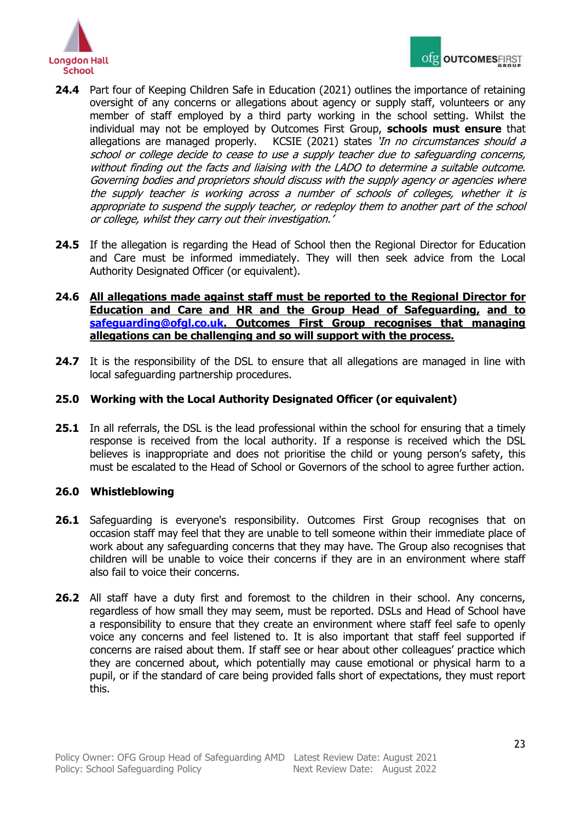

- **24.4** Part four of Keeping Children Safe in Education (2021) outlines the importance of retaining oversight of any concerns or allegations about agency or supply staff, volunteers or any member of staff employed by a third party working in the school setting. Whilst the individual may not be employed by Outcomes First Group, **schools must ensure** that allegations are managed properly. KCSIE (2021) states 'In no circumstances should a school or college decide to cease to use a supply teacher due to safeguarding concerns, without finding out the facts and liaising with the LADO to determine a suitable outcome. Governing bodies and proprietors should discuss with the supply agency or agencies where the supply teacher is working across a number of schools of colleges, whether it is appropriate to suspend the supply teacher, or redeploy them to another part of the school or college, whilst they carry out their investigation.'
- 24.5 If the allegation is regarding the Head of School then the Regional Director for Education and Care must be informed immediately. They will then seek advice from the Local Authority Designated Officer (or equivalent).
- **24.6 All allegations made against staff must be reported to the Regional Director for Education and Care and HR and the Group Head of Safeguarding, and to [safeguarding@ofgl.co.uk.](mailto:safeguarding@ofgl.co.uk) Outcomes First Group recognises that managing allegations can be challenging and so will support with the process.**
- **24.7** It is the responsibility of the DSL to ensure that all allegations are managed in line with local safeguarding partnership procedures.

# <span id="page-22-0"></span>**25.0 Working with the Local Authority Designated Officer (or equivalent)**

**25.1** In all referrals, the DSL is the lead professional within the school for ensuring that a timely response is received from the local authority. If a response is received which the DSL believes is inappropriate and does not prioritise the child or young person's safety, this must be escalated to the Head of School or Governors of the school to agree further action.

## <span id="page-22-1"></span>**26.0 Whistleblowing**

- 26.1 Safeguarding is everyone's responsibility. Outcomes First Group recognises that on occasion staff may feel that they are unable to tell someone within their immediate place of work about any safeguarding concerns that they may have. The Group also recognises that children will be unable to voice their concerns if they are in an environment where staff also fail to voice their concerns.
- 26.2 All staff have a duty first and foremost to the children in their school. Any concerns, regardless of how small they may seem, must be reported. DSLs and Head of School have a responsibility to ensure that they create an environment where staff feel safe to openly voice any concerns and feel listened to. It is also important that staff feel supported if concerns are raised about them. If staff see or hear about other colleagues' practice which they are concerned about, which potentially may cause emotional or physical harm to a pupil, or if the standard of care being provided falls short of expectations, they must report this.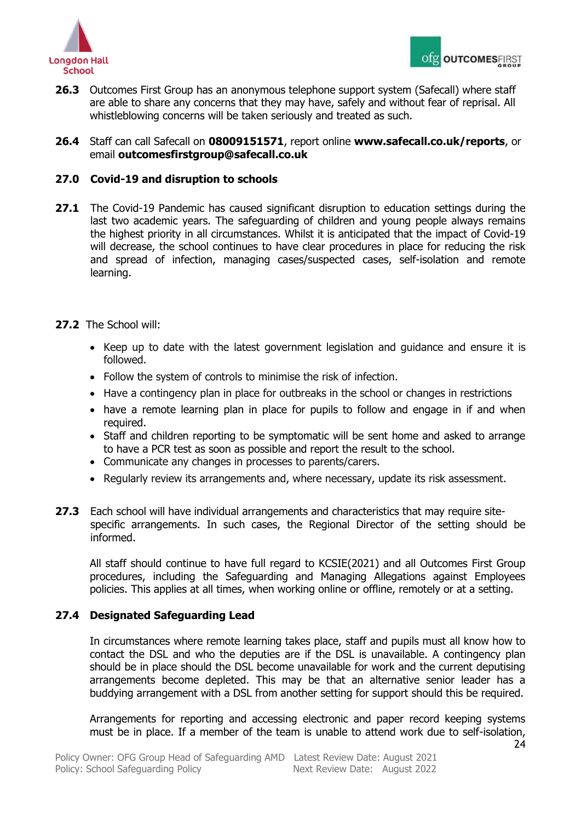



**26.3** Outcomes First Group has an anonymous telephone support system (Safecall) where staff are able to share any concerns that they may have, safely and without fear of reprisal. All whistleblowing concerns will be taken seriously and treated as such.

**26.4** Staff can call Safecall on **08009151571**, report online **www.safecall.co.uk/reports**, or email **outcomesfirstgroup@safecall.co.uk**

# <span id="page-23-0"></span>**27.0 Covid-19 and disruption to schools**

- **27.1** The Covid-19 Pandemic has caused significant disruption to education settings during the last two academic years. The safeguarding of children and young people always remains the highest priority in all circumstances. Whilst it is anticipated that the impact of Covid-19 will decrease, the school continues to have clear procedures in place for reducing the risk and spread of infection, managing cases/suspected cases, self-isolation and remote learning.
- **27.2** The School will:
	- Keep up to date with the latest government legislation and guidance and ensure it is followed.
	- Follow the system of controls to minimise the risk of infection.
	- Have a contingency plan in place for outbreaks in the school or changes in restrictions
	- have a remote learning plan in place for pupils to follow and engage in if and when required.
	- Staff and children reporting to be symptomatic will be sent home and asked to arrange to have a PCR test as soon as possible and report the result to the school.
	- Communicate any changes in processes to parents/carers.
	- Regularly review its arrangements and, where necessary, update its risk assessment.
- **27.3** Each school will have individual arrangements and characteristics that may require sitespecific arrangements. In such cases, the Regional Director of the setting should be informed.

All staff should continue to have full regard to KCSIE(2021) and all Outcomes First Group procedures, including the Safeguarding and Managing Allegations against Employees policies. This applies at all times, when working online or offline, remotely or at a setting.

## **27.4 Designated Safeguarding Lead**

In circumstances where remote learning takes place, staff and pupils must all know how to contact the DSL and who the deputies are if the DSL is unavailable. A contingency plan should be in place should the DSL become unavailable for work and the current deputising arrangements become depleted. This may be that an alternative senior leader has a buddying arrangement with a DSL from another setting for support should this be required.

Arrangements for reporting and accessing electronic and paper record keeping systems must be in place. If a member of the team is unable to attend work due to self-isolation,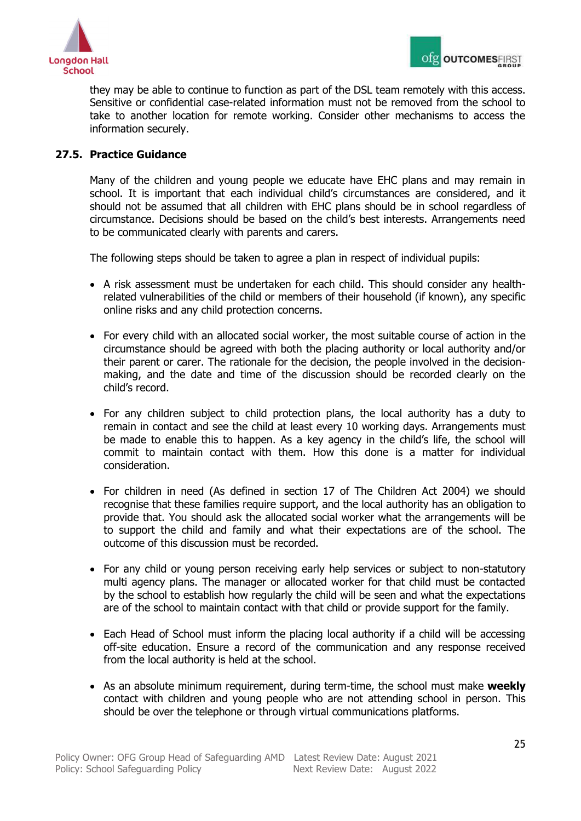

they may be able to continue to function as part of the DSL team remotely with this access. Sensitive or confidential case-related information must not be removed from the school to take to another location for remote working. Consider other mechanisms to access the information securely.

# **27.5. Practice Guidance**

Many of the children and young people we educate have EHC plans and may remain in school. It is important that each individual child's circumstances are considered, and it should not be assumed that all children with EHC plans should be in school regardless of circumstance. Decisions should be based on the child's best interests. Arrangements need to be communicated clearly with parents and carers.

The following steps should be taken to agree a plan in respect of individual pupils:

- A risk assessment must be undertaken for each child. This should consider any healthrelated vulnerabilities of the child or members of their household (if known), any specific online risks and any child protection concerns.
- For every child with an allocated social worker, the most suitable course of action in the circumstance should be agreed with both the placing authority or local authority and/or their parent or carer. The rationale for the decision, the people involved in the decisionmaking, and the date and time of the discussion should be recorded clearly on the child's record.
- For any children subject to child protection plans, the local authority has a duty to remain in contact and see the child at least every 10 working days. Arrangements must be made to enable this to happen. As a key agency in the child's life, the school will commit to maintain contact with them. How this done is a matter for individual consideration.
- For children in need (As defined in section 17 of The Children Act 2004) we should recognise that these families require support, and the local authority has an obligation to provide that. You should ask the allocated social worker what the arrangements will be to support the child and family and what their expectations are of the school. The outcome of this discussion must be recorded.
- For any child or young person receiving early help services or subject to non-statutory multi agency plans. The manager or allocated worker for that child must be contacted by the school to establish how regularly the child will be seen and what the expectations are of the school to maintain contact with that child or provide support for the family.
- Each Head of School must inform the placing local authority if a child will be accessing off-site education. Ensure a record of the communication and any response received from the local authority is held at the school.
- As an absolute minimum requirement, during term-time, the school must make **weekly** contact with children and young people who are not attending school in person. This should be over the telephone or through virtual communications platforms.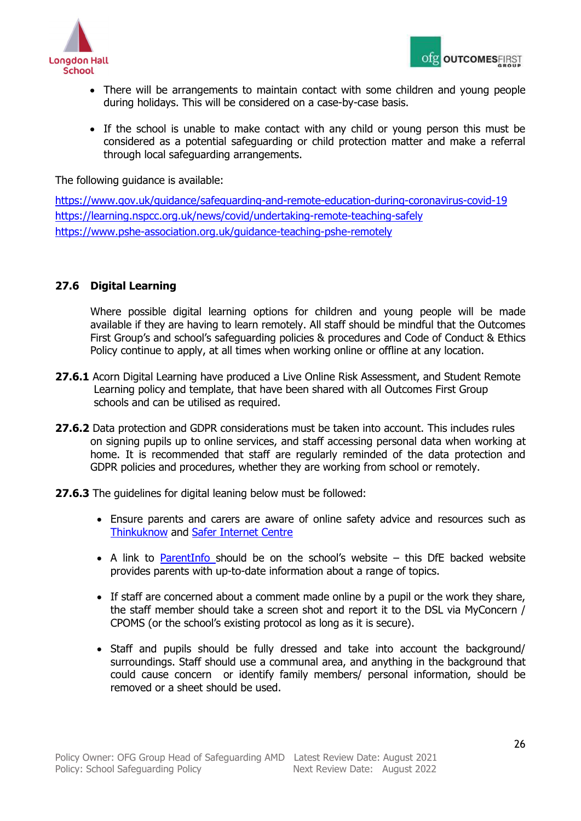

- There will be arrangements to maintain contact with some children and young people during holidays. This will be considered on a case-by-case basis.
- If the school is unable to make contact with any child or young person this must be considered as a potential safeguarding or child protection matter and make a referral through local safeguarding arrangements.

## The following guidance is available:

<https://www.gov.uk/guidance/safeguarding-and-remote-education-during-coronavirus-covid-19> <https://learning.nspcc.org.uk/news/covid/undertaking-remote-teaching-safely> <https://www.pshe-association.org.uk/guidance-teaching-pshe-remotely>

# **27.6 Digital Learning**

Where possible digital learning options for children and young people will be made available if they are having to learn remotely. All staff should be mindful that the Outcomes First Group's and school's safeguarding policies & procedures and Code of Conduct & Ethics Policy continue to apply, at all times when working online or offline at any location.

- 27.6.1 Acorn Digital Learning have produced a Live Online Risk Assessment, and Student Remote Learning policy and template, that have been shared with all Outcomes First Group schools and can be utilised as required.
- **27.6.2** Data protection and GDPR considerations must be taken into account. This includes rules on signing pupils up to online services, and staff accessing personal data when working at home. It is recommended that staff are regularly reminded of the data protection and GDPR policies and procedures, whether they are working from school or remotely.
- **27.6.3** The guidelines for digital leaning below must be followed:
	- Ensure parents and carers are aware of online safety advice and resources such as [Thinkuknow](https://www.thinkuknow.co.uk/) and [Safer Internet Centre](https://www.saferinternet.org.uk/)
	- $\bullet$  A link to [ParentInfo](https://parentinfo.org/) should be on the school's website this DfE backed website provides parents with up-to-date information about a range of topics.
	- If staff are concerned about a comment made online by a pupil or the work they share, the staff member should take a screen shot and report it to the DSL via MyConcern / CPOMS (or the school's existing protocol as long as it is secure).
	- Staff and pupils should be fully dressed and take into account the background/ surroundings. Staff should use a communal area, and anything in the background that could cause concern or identify family members/ personal information, should be removed or a sheet should be used.